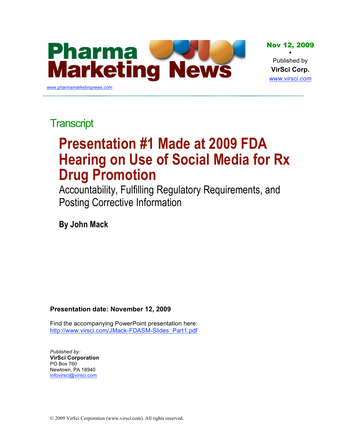

# **Transcript**

# **Presentation #1 Made at 2009 FDA Hearing on Use of Social Media for Rx Drug Promotion**

Accountability, Fulfilling Regulatory Requirements, and Posting Corrective Information

**By John Mack**

#### **Presentation date: November 12, 2009**

[Find the accompanying PowerPoint presentation here:](http://www.virsci.com/JMack-FDASM-Slides_Part1.pdf)  http://www.virsci.com/JMack-FDASM-Slides\_Part1.pdf

*Published by:* **VirSci Corporation** PO Box 760 Newtown, PA 18940 infovirsci@virsci.com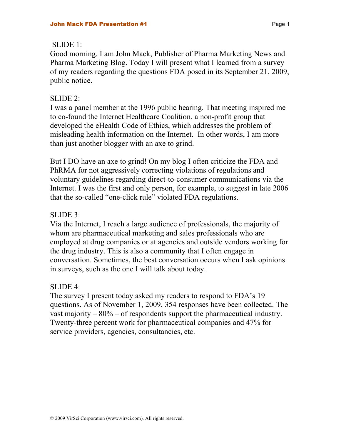#### $SIJDE 1$

Good morning. I am John Mack, Publisher of Pharma Marketing News and Pharma Marketing Blog. Today I will present what I learned from a survey of my readers regarding the questions FDA posed in its September 21, 2009, public notice.

#### SLIDE 2:

I was a panel member at the 1996 public hearing. That meeting inspired me to co-found the Internet Healthcare Coalition, a non-profit group that developed the eHealth Code of Ethics, which addresses the problem of misleading health information on the Internet. In other words, I am more than just another blogger with an axe to grind.

But I DO have an axe to grind! On my blog I often criticize the FDA and PhRMA for not aggressively correcting violations of regulations and voluntary guidelines regarding direct-to-consumer communications via the Internet. I was the first and only person, for example, to suggest in late 2006 that the so-called "one-click rule" violated FDA regulations.

#### SLIDE 3:

Via the Internet, I reach a large audience of professionals, the majority of whom are pharmaceutical marketing and sales professionals who are employed at drug companies or at agencies and outside vendors working for the drug industry. This is also a community that I often engage in conversation. Sometimes, the best conversation occurs when I ask opinions in surveys, such as the one I will talk about today.

#### SLIDE 4:

The survey I present today asked my readers to respond to FDA's 19 questions. As of November 1, 2009, 354 responses have been collected. The vast majority – 80% – of respondents support the pharmaceutical industry. Twenty-three percent work for pharmaceutical companies and 47% for service providers, agencies, consultancies, etc.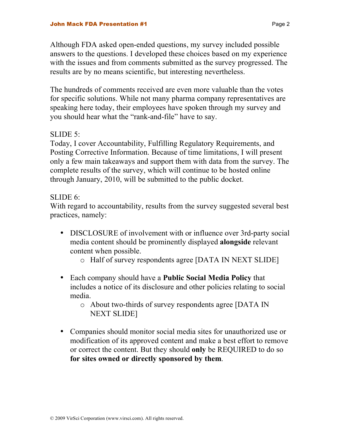Although FDA asked open-ended questions, my survey included possible answers to the questions. I developed these choices based on my experience with the issues and from comments submitted as the survey progressed. The results are by no means scientific, but interesting nevertheless.

The hundreds of comments received are even more valuable than the votes for specific solutions. While not many pharma company representatives are speaking here today, their employees have spoken through my survey and you should hear what the "rank-and-file" have to say.

#### SLIDE 5:

Today, I cover Accountability, Fulfilling Regulatory Requirements, and Posting Corrective Information. Because of time limitations, I will present only a few main takeaways and support them with data from the survey. The complete results of the survey, which will continue to be hosted online through January, 2010, will be submitted to the public docket.

#### SLIDE 6:

With regard to accountability, results from the survey suggested several best practices, namely:

- DISCLOSURE of involvement with or influence over 3rd-party social media content should be prominently displayed **alongside** relevant content when possible.
	- o Half of survey respondents agree [DATA IN NEXT SLIDE]
- Each company should have a **Public Social Media Policy** that includes a notice of its disclosure and other policies relating to social media.
	- o About two-thirds of survey respondents agree [DATA IN NEXT SLIDE]
- Companies should monitor social media sites for unauthorized use or modification of its approved content and make a best effort to remove or correct the content. But they should **only** be REQUIRED to do so **for sites owned or directly sponsored by them**.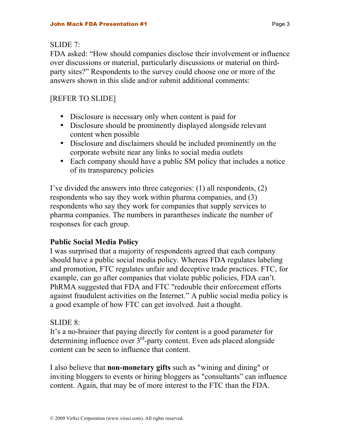#### $SLIDE 7<sup>1</sup>$

FDA asked: "How should companies disclose their involvement or influence over discussions or material, particularly discussions or material on thirdparty sites?" Respondents to the survey could choose one or more of the answers shown in this slide and/or submit additional comments:

# [REFER TO SLIDE]

- Disclosure is necessary only when content is paid for
- Disclosure should be prominently displayed alongside relevant content when possible
- Disclosure and disclaimers should be included prominently on the corporate website near any links to social media outlets
- Each company should have a public SM policy that includes a notice of its transparency policies

I've divided the answers into three categories: (1) all respondents, (2) respondents who say they work within pharma companies, and (3) respondents who say they work for companies that supply services to pharma companies. The numbers in parantheses indicate the number of responses for each group.

## **Public Social Media Policy**

I was surprised that a majority of respondents agreed that each company should have a public social media policy. Whereas FDA regulates labeling and promotion, FTC regulates unfair and deceptive trade practices. FTC, for example, can go after companies that violate public policies, FDA can't. PhRMA suggested that FDA and FTC "redouble their enforcement efforts against fraudulent activities on the Internet." A public social media policy is a good example of how FTC can get involved. Just a thought.

## SLIDE 8:

It's a no-brainer that paying directly for content is a good parameter for determining influence over  $3<sup>rd</sup>$ -party content. Even ads placed alongside content can be seen to influence that content.

I also believe that **non-monetary gifts** such as "wining and dining" or inviting bloggers to events or hiring bloggers as "consultants" can influence content. Again, that may be of more interest to the FTC than the FDA.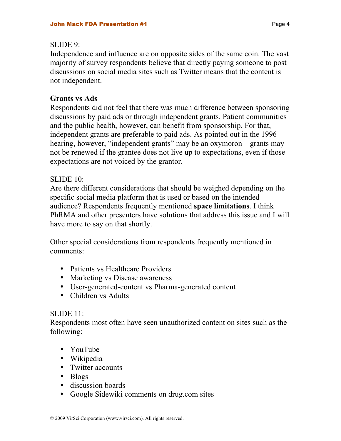#### SLIDE 9:

Independence and influence are on opposite sides of the same coin. The vast majority of survey respondents believe that directly paying someone to post discussions on social media sites such as Twitter means that the content is not independent.

#### **Grants vs Ads**

Respondents did not feel that there was much difference between sponsoring discussions by paid ads or through independent grants. Patient communities and the public health, however, can benefit from sponsorship. For that, independent grants are preferable to paid ads. As pointed out in the 1996 hearing, however, "independent grants" may be an oxymoron – grants may not be renewed if the grantee does not live up to expectations, even if those expectations are not voiced by the grantor.

#### SLIDE 10:

Are there different considerations that should be weighed depending on the specific social media platform that is used or based on the intended audience? Respondents frequently mentioned **space limitations**. I think PhRMA and other presenters have solutions that address this issue and I will have more to say on that shortly.

Other special considerations from respondents frequently mentioned in comments:

- Patients vs Healthcare Providers
- Marketing vs Disease awareness
- User-generated-content vs Pharma-generated content
- Children vs Adults

#### SLIDE 11:

Respondents most often have seen unauthorized content on sites such as the following:

- YouTube
- Wikipedia
- Twitter accounts
- Blogs
- discussion boards
- Google Sidewiki comments on drug.com sites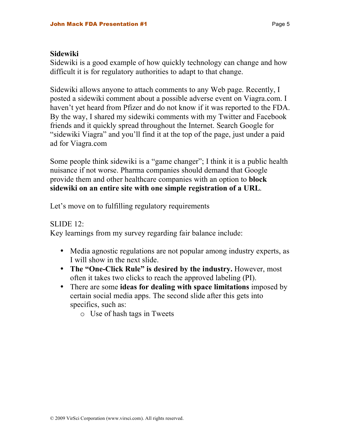#### **Sidewiki**

Sidewiki is a good example of how quickly technology can change and how difficult it is for regulatory authorities to adapt to that change.

Sidewiki allows anyone to attach comments to any Web page. Recently, I posted a sidewiki comment about a possible adverse event on Viagra.com. I haven't yet heard from Pfizer and do not know if it was reported to the FDA. By the way, I shared my sidewiki comments with my Twitter and Facebook friends and it quickly spread throughout the Internet. Search Google for "sidewiki Viagra" and you'll find it at the top of the page, just under a paid ad for Viagra.com

Some people think sidewiki is a "game changer"; I think it is a public health nuisance if not worse. Pharma companies should demand that Google provide them and other healthcare companies with an option to **block sidewiki on an entire site with one simple registration of a URL**.

Let's move on to fulfilling regulatory requirements

SLIDE 12:

Key learnings from my survey regarding fair balance include:

- Media agnostic regulations are not popular among industry experts, as I will show in the next slide.
- **The "One-Click Rule" is desired by the industry.** However, most often it takes two clicks to reach the approved labeling (PI).
- There are some **ideas for dealing with space limitations** imposed by certain social media apps. The second slide after this gets into specifics, such as:

o Use of hash tags in Tweets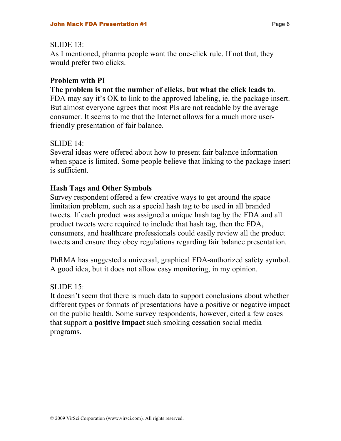#### $SLIDE$  13 $\cdot$

As I mentioned, pharma people want the one-click rule. If not that, they would prefer two clicks.

#### **Problem with PI**

#### **The problem is not the number of clicks, but what the click leads to**.

FDA may say it's OK to link to the approved labeling, ie, the package insert. But almost everyone agrees that most PIs are not readable by the average consumer. It seems to me that the Internet allows for a much more userfriendly presentation of fair balance.

#### $SLIDE$  14 $\cdot$

Several ideas were offered about how to present fair balance information when space is limited. Some people believe that linking to the package insert is sufficient.

#### **Hash Tags and Other Symbols**

Survey respondent offered a few creative ways to get around the space limitation problem, such as a special hash tag to be used in all branded tweets. If each product was assigned a unique hash tag by the FDA and all product tweets were required to include that hash tag, then the FDA, consumers, and healthcare professionals could easily review all the product tweets and ensure they obey regulations regarding fair balance presentation.

PhRMA has suggested a universal, graphical FDA-authorized safety symbol. A good idea, but it does not allow easy monitoring, in my opinion.

#### SLIDE 15:

It doesn't seem that there is much data to support conclusions about whether different types or formats of presentations have a positive or negative impact on the public health. Some survey respondents, however, cited a few cases that support a **positive impact** such smoking cessation social media programs.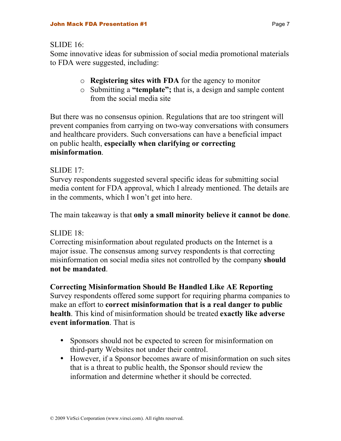$SLIDE 16$ 

Some innovative ideas for submission of social media promotional materials to FDA were suggested, including:

- o **Registering sites with FDA** for the agency to monitor
- o Submitting a **"template";** that is, a design and sample content from the social media site

But there was no consensus opinion. Regulations that are too stringent will prevent companies from carrying on two-way conversations with consumers and healthcare providers. Such conversations can have a beneficial impact on public health, **especially when clarifying or correcting misinformation**.

#### SLIDE 17:

Survey respondents suggested several specific ideas for submitting social media content for FDA approval, which I already mentioned. The details are in the comments, which I won't get into here.

The main takeaway is that **only a small minority believe it cannot be done**.

#### SLIDE 18:

Correcting misinformation about regulated products on the Internet is a major issue. The consensus among survey respondents is that correcting misinformation on social media sites not controlled by the company **should not be mandated**.

**Correcting Misinformation Should Be Handled Like AE Reporting**

Survey respondents offered some support for requiring pharma companies to make an effort to **correct misinformation that is a real danger to public health**. This kind of misinformation should be treated **exactly like adverse event information**. That is

- Sponsors should not be expected to screen for misinformation on third-party Websites not under their control.
- However, if a Sponsor becomes aware of misinformation on such sites that is a threat to public health, the Sponsor should review the information and determine whether it should be corrected.